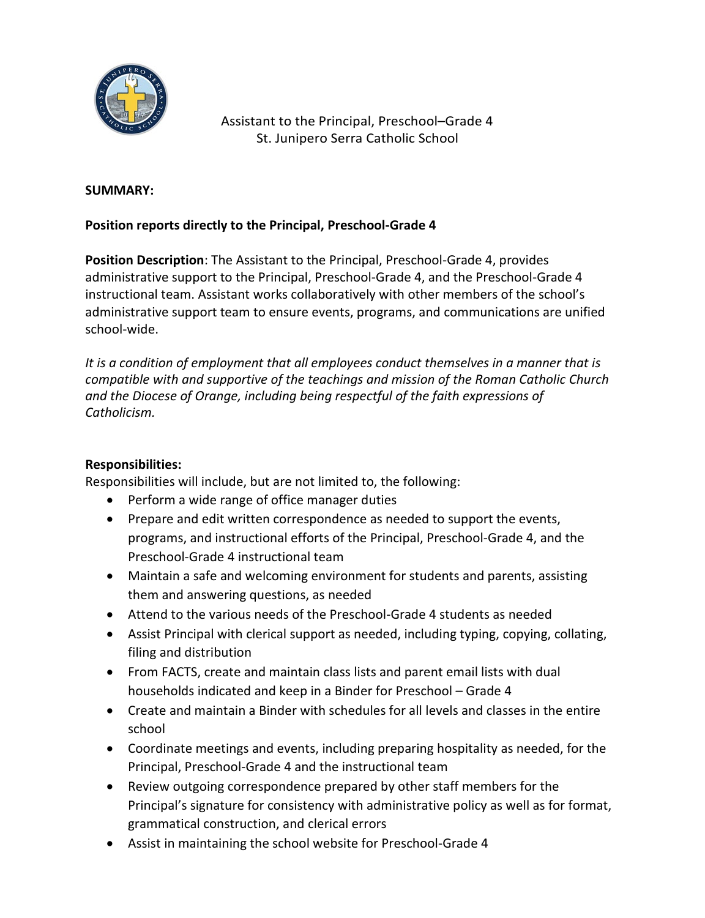

Assistant to the Principal, Preschool–Grade 4 St. Junipero Serra Catholic School

#### **SUMMARY:**

### **Position reports directly to the Principal, Preschool-Grade 4**

**Position Description**: The Assistant to the Principal, Preschool-Grade 4, provides administrative support to the Principal, Preschool-Grade 4, and the Preschool-Grade 4 instructional team. Assistant works collaboratively with other members of the school's administrative support team to ensure events, programs, and communications are unified school-wide.

*It is a condition of employment that all employees conduct themselves in a manner that is compatible with and supportive of the teachings and mission of the Roman Catholic Church and the Diocese of Orange, including being respectful of the faith expressions of Catholicism.*

#### **Responsibilities:**

Responsibilities will include, but are not limited to, the following:

- Perform a wide range of office manager duties
- Prepare and edit written correspondence as needed to support the events, programs, and instructional efforts of the Principal, Preschool-Grade 4, and the Preschool-Grade 4 instructional team
- Maintain a safe and welcoming environment for students and parents, assisting them and answering questions, as needed
- Attend to the various needs of the Preschool-Grade 4 students as needed
- Assist Principal with clerical support as needed, including typing, copying, collating, filing and distribution
- From FACTS, create and maintain class lists and parent email lists with dual households indicated and keep in a Binder for Preschool – Grade 4
- Create and maintain a Binder with schedules for all levels and classes in the entire school
- Coordinate meetings and events, including preparing hospitality as needed, for the Principal, Preschool-Grade 4 and the instructional team
- Review outgoing correspondence prepared by other staff members for the Principal's signature for consistency with administrative policy as well as for format, grammatical construction, and clerical errors
- Assist in maintaining the school website for Preschool-Grade 4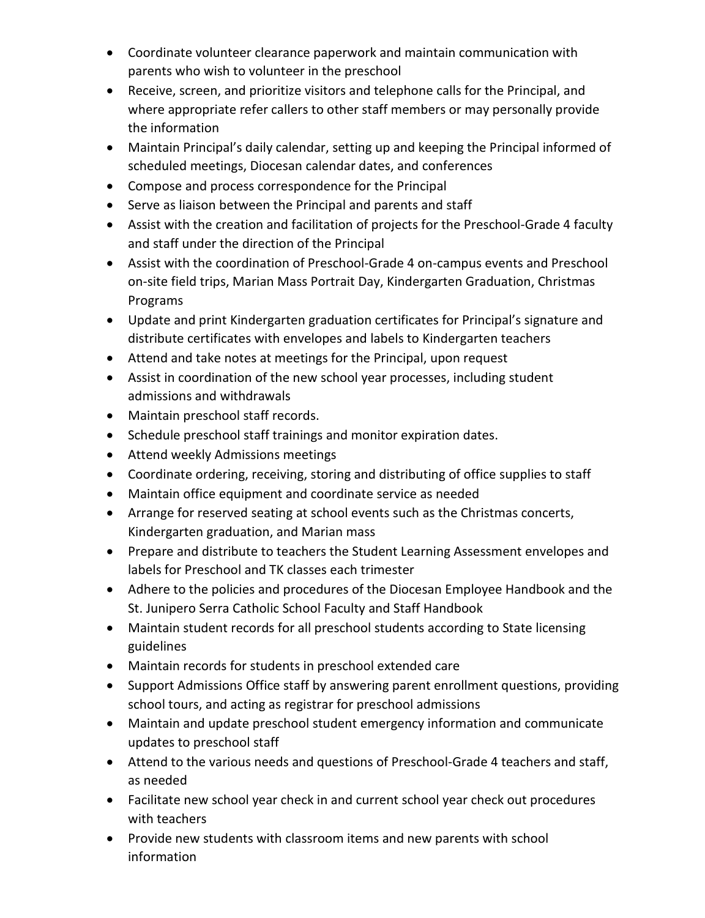- Coordinate volunteer clearance paperwork and maintain communication with parents who wish to volunteer in the preschool
- Receive, screen, and prioritize visitors and telephone calls for the Principal, and where appropriate refer callers to other staff members or may personally provide the information
- Maintain Principal's daily calendar, setting up and keeping the Principal informed of scheduled meetings, Diocesan calendar dates, and conferences
- Compose and process correspondence for the Principal
- Serve as liaison between the Principal and parents and staff
- Assist with the creation and facilitation of projects for the Preschool-Grade 4 faculty and staff under the direction of the Principal
- Assist with the coordination of Preschool-Grade 4 on-campus events and Preschool on-site field trips, Marian Mass Portrait Day, Kindergarten Graduation, Christmas Programs
- Update and print Kindergarten graduation certificates for Principal's signature and distribute certificates with envelopes and labels to Kindergarten teachers
- Attend and take notes at meetings for the Principal, upon request
- Assist in coordination of the new school year processes, including student admissions and withdrawals
- Maintain preschool staff records.
- Schedule preschool staff trainings and monitor expiration dates.
- Attend weekly Admissions meetings
- Coordinate ordering, receiving, storing and distributing of office supplies to staff
- Maintain office equipment and coordinate service as needed
- Arrange for reserved seating at school events such as the Christmas concerts, Kindergarten graduation, and Marian mass
- Prepare and distribute to teachers the Student Learning Assessment envelopes and labels for Preschool and TK classes each trimester
- Adhere to the policies and procedures of the Diocesan Employee Handbook and the St. Junipero Serra Catholic School Faculty and Staff Handbook
- Maintain student records for all preschool students according to State licensing guidelines
- Maintain records for students in preschool extended care
- Support Admissions Office staff by answering parent enrollment questions, providing school tours, and acting as registrar for preschool admissions
- Maintain and update preschool student emergency information and communicate updates to preschool staff
- Attend to the various needs and questions of Preschool-Grade 4 teachers and staff, as needed
- Facilitate new school year check in and current school year check out procedures with teachers
- Provide new students with classroom items and new parents with school information